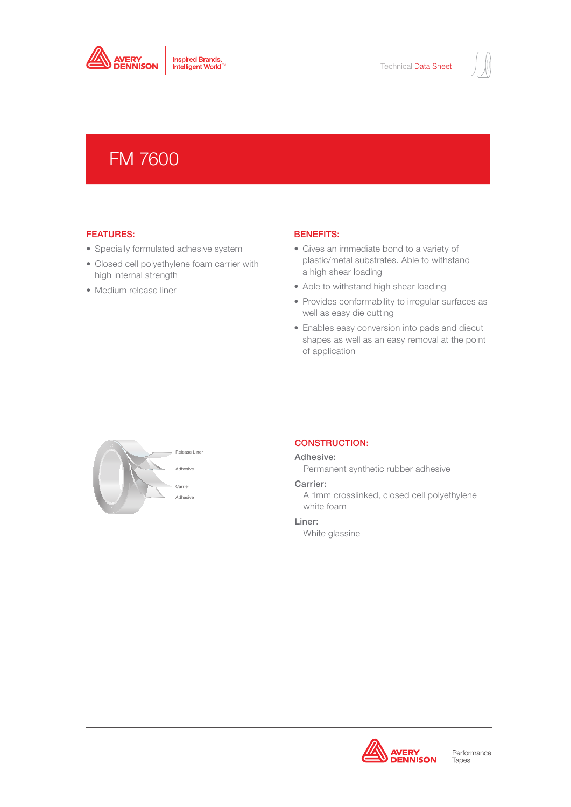

# FM 7600

## FEATURES:

- Specially formulated adhesive system
- Closed cell polyethylene foam carrier with high internal strength
- Medium release liner

# BENEFITS:

- Gives an immediate bond to a variety of plastic/metal substrates. Able to withstand a high shear loading
- Able to withstand high shear loading
- Provides conformability to irregular surfaces as well as easy die cutting
- Enables easy conversion into pads and diecut shapes as well as an easy removal at the point of application



# CONSTRUCTION:

#### Adhesive:

Permanent synthetic rubber adhesive

#### Carrier:

A 1mm crosslinked, closed cell polyethylene white foam

### Liner:

White glassine